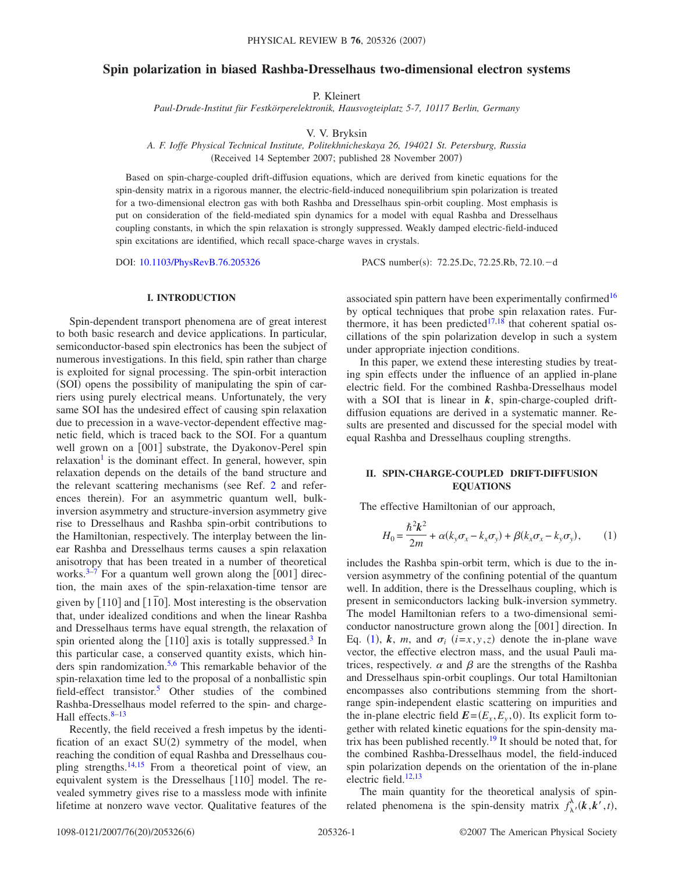# **Spin polarization in biased Rashba-Dresselhaus two-dimensional electron systems**

P. Kleinert

*Paul-Drude-Institut für Festkörperelektronik, Hausvogteiplatz 5-7, 10117 Berlin, Germany*

V. V. Bryksin

*A. F. Ioffe Physical Technical Institute, Politekhnicheskaya 26, 194021 St. Petersburg, Russia* (Received 14 September 2007; published 28 November 2007)

Based on spin-charge-coupled drift-diffusion equations, which are derived from kinetic equations for the spin-density matrix in a rigorous manner, the electric-field-induced nonequilibrium spin polarization is treated for a two-dimensional electron gas with both Rashba and Dresselhaus spin-orbit coupling. Most emphasis is put on consideration of the field-mediated spin dynamics for a model with equal Rashba and Dresselhaus coupling constants, in which the spin relaxation is strongly suppressed. Weakly damped electric-field-induced spin excitations are identified, which recall space-charge waves in crystals.

DOI: [10.1103/PhysRevB.76.205326](http://dx.doi.org/10.1103/PhysRevB.76.205326)

PACS number(s): 72.25.Dc, 72.25.Rb, 72.10.-d

## **I. INTRODUCTION**

Spin-dependent transport phenomena are of great interest to both basic research and device applications. In particular, semiconductor-based spin electronics has been the subject of numerous investigations. In this field, spin rather than charge is exploited for signal processing. The spin-orbit interaction (SOI) opens the possibility of manipulating the spin of carriers using purely electrical means. Unfortunately, the very same SOI has the undesired effect of causing spin relaxation due to precession in a wave-vector-dependent effective magnetic field, which is traced back to the SOI. For a quantum well grown on a [001] substrate, the Dyakonov-Perel spin relaxation<sup>1</sup> is the dominant effect. In general, however, spin relaxation depends on the details of the band structure and the relevant scattering mechanisms (see Ref.  $2$  and references therein). For an asymmetric quantum well, bulkinversion asymmetry and structure-inversion asymmetry give rise to Dresselhaus and Rashba spin-orbit contributions to the Hamiltonian, respectively. The interplay between the linear Rashba and Dresselhaus terms causes a spin relaxation anisotropy that has been treated in a number of theoretical works. $3-7$  For a quantum well grown along the [001] direction, the main axes of the spin-relaxation-time tensor are given by  $[110]$  and  $[110]$ . Most interesting is the observation that, under idealized conditions and when the linear Rashba and Dresselhaus terms have equal strength, the relaxation of spin oriented along the  $[110]$  axis is totally suppressed.<sup>3</sup> In this particular case, a conserved quantity exists, which hin-ders spin randomization.<sup>5[,6](#page-4-5)</sup> This remarkable behavior of the spin-relaxation time led to the proposal of a nonballistic spin field-effect transistor[.5](#page-4-4) Other studies of the combined Rashba-Dresselhaus model referred to the spin- and charge-Hall effects.<sup>8-13</sup>

Recently, the field received a fresh impetus by the identification of an exact  $SU(2)$  symmetry of the model, when reaching the condition of equal Rashba and Dresselhaus cou-pling strengths.<sup>14[,15](#page-4-9)</sup> From a theoretical point of view, an equivalent system is the Dresselhaus  $[110]$  model. The revealed symmetry gives rise to a massless mode with infinite lifetime at nonzero wave vector. Qualitative features of the associated spin pattern have been experimentally confirmed<sup>16</sup> by optical techniques that probe spin relaxation rates. Furthermore, it has been predicted $17,18$  $17,18$  that coherent spatial oscillations of the spin polarization develop in such a system under appropriate injection conditions.

In this paper, we extend these interesting studies by treating spin effects under the influence of an applied in-plane electric field. For the combined Rashba-Dresselhaus model with a SOI that is linear in  $k$ , spin-charge-coupled driftdiffusion equations are derived in a systematic manner. Results are presented and discussed for the special model with equal Rashba and Dresselhaus coupling strengths.

# **II. SPIN-CHARGE-COUPLED DRIFT-DIFFUSION EQUATIONS**

<span id="page-0-0"></span>The effective Hamiltonian of our approach,

$$
H_0 = \frac{\hbar^2 k^2}{2m} + \alpha (k_y \sigma_x - k_x \sigma_y) + \beta (k_x \sigma_x - k_y \sigma_y), \qquad (1)
$$

includes the Rashba spin-orbit term, which is due to the inversion asymmetry of the confining potential of the quantum well. In addition, there is the Dresselhaus coupling, which is present in semiconductors lacking bulk-inversion symmetry. The model Hamiltonian refers to a two-dimensional semiconductor nanostructure grown along the [001] direction. In Eq. ([1](#page-0-0)),  $k$ ,  $m$ , and  $\sigma_i$  ( $i=x, y, z$ ) denote the in-plane wave vector, the effective electron mass, and the usual Pauli matrices, respectively.  $\alpha$  and  $\beta$  are the strengths of the Rashba and Dresselhaus spin-orbit couplings. Our total Hamiltonian encompasses also contributions stemming from the shortrange spin-independent elastic scattering on impurities and the in-plane electric field  $E = (E_x, E_y, 0)$ . Its explicit form together with related kinetic equations for the spin-density matrix has been published recently.<sup>19</sup> It should be noted that, for the combined Rashba-Dresselhaus model, the field-induced spin polarization depends on the orientation of the in-plane electric field. $12,13$  $12,13$ 

The main quantity for the theoretical analysis of spinrelated phenomena is the spin-density matrix  $f_{\lambda}^{\lambda}$ ,  $(k, k^{\prime}, t)$ ,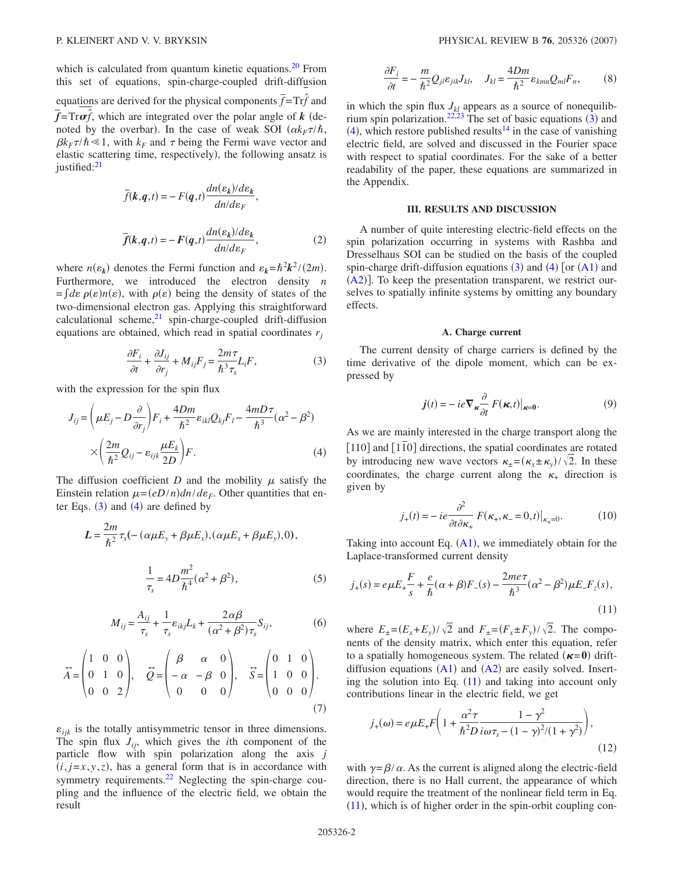which is calculated from quantum kinetic equations. $20$  From this set of equations, spin-charge-coupled drift-diffusion equations are derived for the physical components  $\bar{f} = Tr\hat{f}$  and  $\overrightarrow{f} = \text{Tr} \overrightarrow{of}$ , which are integrated over the polar angle of *k* (denoted by the overbar). In the case of weak SOI  $(\alpha k_F \tau / \hbar)$ ,  $\beta k_F \tau / \hbar \ll 1$ , with  $k_F$  and  $\tau$  being the Fermi wave vector and elastic scattering time, respectively), the following ansatz is justified:<sup>21</sup>

$$
\overline{f}(k,q,t) = -F(q,t) \frac{dn(\varepsilon_k)/d\varepsilon_k}{dn/d\varepsilon_F},
$$
\n
$$
\overline{f}(k,q,t) = -F(q,t) \frac{dn(\varepsilon_k)/d\varepsilon_k}{dn/d\varepsilon_F},
$$
\n(2)

where  $n(\varepsilon_k)$  denotes the Fermi function and  $\varepsilon_k = \hbar^2 k^2 / (2m)$ . Furthermore, we introduced the electron density *n*  $=f d\varepsilon \rho(\varepsilon) n(\varepsilon)$ , with  $\rho(\varepsilon)$  being the density of states of the two-dimensional electron gas. Applying this straightforward calculational scheme, $21$  spin-charge-coupled drift-diffusion equations are obtained, which read in spatial coordinates  $r_i$ 

$$
\frac{\partial F_i}{\partial t} + \frac{\partial J_{ij}}{\partial r_j} + M_{ij} F_j = \frac{2m\tau}{\hbar^3 \tau_s} L_i F,\tag{3}
$$

<span id="page-1-1"></span><span id="page-1-0"></span>with the expression for the spin flux

$$
J_{ij} = \left(\mu E_j - D\frac{\partial}{\partial r_j}\right) F_i + \frac{4Dm}{\hbar^2} \varepsilon_{ikl} Q_{kj} F_l - \frac{4mD\tau}{\hbar^3} (\alpha^2 - \beta^2)
$$

$$
\times \left(\frac{2m}{\hbar^2} Q_{ij} - \varepsilon_{ijk} \frac{\mu E_k}{2D}\right) F. \tag{4}
$$

The diffusion coefficient *D* and the mobility  $\mu$  satisfy the Einstein relation  $\mu = (eD/n)dn/d\varepsilon_F$ . Other quantities that enter Eqs.  $(3)$  $(3)$  $(3)$  and  $(4)$  $(4)$  $(4)$  are defined by

$$
L = \frac{2m}{\hbar^2} \tau_s (- (\alpha \mu E_y + \beta \mu E_x), (\alpha \mu E_x + \beta \mu E_y), 0),
$$
  

$$
\frac{1}{\tau_s} = 4D \frac{m^2}{\hbar^4} (\alpha^2 + \beta^2),
$$
 (5)

$$
M_{ij} = \frac{A_{ij}}{\tau_s} + \frac{1}{\tau_s} \varepsilon_{ikj} L_k + \frac{2\alpha\beta}{(\alpha^2 + \beta^2)\tau_s} S_{ij},
$$
(6)

$$
\vec{A} = \begin{pmatrix} 1 & 0 & 0 \\ 0 & 1 & 0 \\ 0 & 0 & 2 \end{pmatrix}, \quad \vec{Q} = \begin{pmatrix} \beta & \alpha & 0 \\ -\alpha & -\beta & 0 \\ 0 & 0 & 0 \end{pmatrix}, \quad \vec{S} = \begin{pmatrix} 0 & 1 & 0 \\ 1 & 0 & 0 \\ 0 & 0 & 0 \end{pmatrix}.
$$
\n(7)

 $\varepsilon_{ijk}$  is the totally antisymmetric tensor in three dimensions. The spin flux  $J_{ij}$ , which gives the *i*th component of the particle flow with spin polarization along the axis *j*  $(i, j=x, y, z)$ , has a general form that is in accordance with symmetry requirements.<sup>22</sup> Neglecting the spin-charge coupling and the influence of the electric field, we obtain the result

$$
\frac{\partial F_i}{\partial t} = -\frac{m}{\hbar^2} Q_{jl} \varepsilon_{jik} J_{kl}, \quad J_{kl} = \frac{4Dm}{\hbar^2} \varepsilon_{kmn} Q_{ml} F_n, \tag{8}
$$

in which the spin flux  $J_{kl}$  appears as a source of nonequilib-rium spin polarization.<sup>22,[23](#page-5-4)</sup> The set of basic equations  $(3)$  $(3)$  $(3)$  and  $(4)$  $(4)$  $(4)$ , which restore published results<sup>14</sup> in the case of vanishing electric field, are solved and discussed in the Fourier space with respect to spatial coordinates. For the sake of a better readability of the paper, these equations are summarized in the Appendix.

### **III. RESULTS AND DISCUSSION**

A number of quite interesting electric-field effects on the spin polarization occurring in systems with Rashba and Dresselhaus SOI can be studied on the basis of the coupled spin-charge drift-diffusion equations  $(3)$  $(3)$  $(3)$  and  $(4)$  $(4)$  $(4)$  [or  $(A1)$  $(A1)$  $(A1)$  and ([A2](#page-4-15))]. To keep the presentation transparent, we restrict ourselves to spatially infinite systems by omitting any boundary effects.

### **A. Charge current**

The current density of charge carriers is defined by the time derivative of the dipole moment, which can be expressed by

$$
\boldsymbol{j}(t) = -ie\boldsymbol{\nabla}_{\boldsymbol{\kappa}} \frac{\partial}{\partial t} F(\boldsymbol{\kappa}, t)|_{\boldsymbol{\kappa} = 0}.
$$
 (9)

As we are mainly interested in the charge transport along the  $\left[110\right]$  and  $\left[110\right]$  directions, the spatial coordinates are rotated by introducing new wave vectors  $\kappa_{\pm} = (\kappa_x \pm \kappa_y)/\sqrt{2}$ . In these coordinates, the charge current along the  $\kappa_{+}$  direction is given by

$$
j_{+}(t) = -ie\frac{\partial^{2}}{\partial t \partial \kappa_{+}} F(\kappa_{+}, \kappa_{-} = 0, t)|_{\kappa_{+} = 0}.
$$
 (10)

Taking into account Eq.  $(A1)$  $(A1)$  $(A1)$ , we immediately obtain for the Laplace-transformed current density

<span id="page-1-2"></span>
$$
j_{+}(s) = e\mu E_{+} \frac{F}{s} + \frac{e}{\hbar} (\alpha + \beta) F_{-}(s) - \frac{2m e \tau}{\hbar^{3}} (\alpha^{2} - \beta^{2}) \mu E_{-} F_{z}(s),
$$
\n(11)

where  $E_{\pm} = (E_x + E_y) / \sqrt{2}$  and  $F_{\pm} = (F_x \pm F_y) / \sqrt{2}$ . The components of the density matrix, which enter this equation, refer to a spatially homogeneous system. The related  $(\kappa=0)$  driftdiffusion equations  $(A1)$  $(A1)$  $(A1)$  and  $(A2)$  $(A2)$  $(A2)$  are easily solved. Inserting the solution into Eq.  $(11)$  $(11)$  $(11)$  and taking into account only contributions linear in the electric field, we get

<span id="page-1-3"></span>
$$
j_{+}(\omega) = e\mu E_{+}F\left(1 + \frac{\alpha^{2}\tau}{\hbar^{2}D} \frac{1 - \gamma^{2}}{i\omega\tau_{s} - (1 - \gamma)^{2}/(1 + \gamma^{2})}\right),\tag{12}
$$

with  $\gamma = \beta/\alpha$ . As the current is aligned along the electric-field direction, there is no Hall current, the appearance of which would require the treatment of the nonlinear field term in Eq.  $(11)$  $(11)$  $(11)$ , which is of higher order in the spin-orbit coupling con-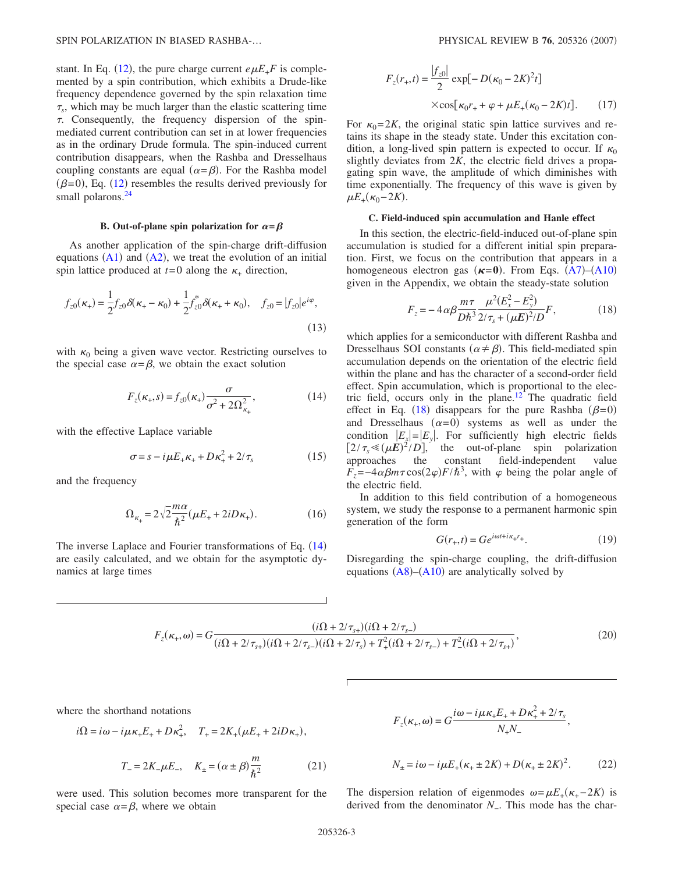stant. In Eq. ([12](#page-1-3)), the pure charge current  $e\mu E_+F$  is complemented by a spin contribution, which exhibits a Drude-like frequency dependence governed by the spin relaxation time  $\tau_{s}$ , which may be much larger than the elastic scattering time  $\tau$ . Consequently, the frequency dispersion of the spinmediated current contribution can set in at lower frequencies as in the ordinary Drude formula. The spin-induced current contribution disappears, when the Rashba and Dresselhaus coupling constants are equal  $(\alpha = \beta)$ . For the Rashba model  $(\beta= 0)$ , Eq. ([12](#page-1-3)) resembles the results derived previously for small polarons.<sup>24</sup>

#### **B.** Out-of-plane spin polarization for  $\alpha = \beta$

As another application of the spin-charge drift-diffusion equations  $(A1)$  $(A1)$  $(A1)$  and  $(A2)$  $(A2)$  $(A2)$ , we treat the evolution of an initial spin lattice produced at  $t=0$  along the  $\kappa_{+}$  direction,

$$
f_{z0}(\kappa_+) = \frac{1}{2} f_{z0} \delta(\kappa_+ - \kappa_0) + \frac{1}{2} f_{z0}^* \delta(\kappa_+ + \kappa_0), \quad f_{z0} = |f_{z0}| e^{i\varphi}, \tag{13}
$$

<span id="page-2-0"></span>with  $\kappa_0$  being a given wave vector. Restricting ourselves to the special case  $\alpha = \beta$ , we obtain the exact solution

$$
F_z(\kappa_+, s) = f_{z0}(\kappa_+) \frac{\sigma}{\sigma^2 + 2\Omega_{\kappa_+}^2},
$$
 (14)

with the effective Laplace variable

$$
\sigma = s - i\mu E_{+} \kappa_{+} + D\kappa_{+}^{2} + 2/\tau_{s}
$$
 (15)

and the frequency

$$
\Omega_{\kappa_+} = 2\sqrt{2}\frac{m\alpha}{\hbar^2}(\mu E_+ + 2iD\kappa_+). \tag{16}
$$

<span id="page-2-2"></span>The inverse Laplace and Fourier transformations of Eq. ([14](#page-2-0)) are easily calculated, and we obtain for the asymptotic dynamics at large times

$$
F_z(r_+,t) = \frac{|f_{z0}|}{2} \exp[-D(\kappa_0 - 2K)^2 t]
$$
  
×cos[ $\kappa_0 r_+ + \varphi + \mu E_+(\kappa_0 - 2K)t$ ]. (17)

For  $\kappa_0 = 2K$ , the original static spin lattice survives and retains its shape in the steady state. Under this excitation condition, a long-lived spin pattern is expected to occur. If  $\kappa_0$ slightly deviates from 2*K*, the electric field drives a propagating spin wave, the amplitude of which diminishes with time exponentially. The frequency of this wave is given by  $\mu E_{+}(\kappa_0 - 2K)$ .

### **C. Field-induced spin accumulation and Hanle effect**

In this section, the electric-field-induced out-of-plane spin accumulation is studied for a different initial spin preparation. First, we focus on the contribution that appears in a homogeneous electron gas  $(\kappa=0)$ . From Eqs.  $(A7)$  $(A7)$  $(A7)$ – $(A10)$  $(A10)$  $(A10)$ given in the Appendix, we obtain the steady-state solution

$$
F_z = -4\alpha\beta \frac{m\tau}{D\hbar^3} \frac{\mu^2 (E_x^2 - E_y^2)}{2/\tau_s + (\mu E)^2/D} F,\tag{18}
$$

<span id="page-2-1"></span>which applies for a semiconductor with different Rashba and Dresselhaus SOI constants ( $\alpha \neq \beta$ ). This field-mediated spin accumulation depends on the orientation of the electric field within the plane and has the character of a second-order field effect. Spin accumulation, which is proportional to the electric field, occurs only in the plane.<sup>12</sup> The quadratic field effect in Eq. ([18](#page-2-1)) disappears for the pure Rashba ( $\beta$ =0) and Dresselhaus  $(\alpha=0)$  systems as well as under the condition  $|E_x| = |E_y|$ . For sufficiently high electric fields  $[2/\tau_s \ll (\mu E)^2/D]$ , the out-of-plane spin polarization approaches the constant field-independent value  $F_z = -4\alpha\beta m\tau \cos(2\varphi)F/\hbar^3$ , with  $\varphi$  being the polar angle of the electric field.

In addition to this field contribution of a homogeneous system, we study the response to a permanent harmonic spin generation of the form

$$
G(r_+,t) = Ge^{i\omega t + i\kappa_+ r_+}.\tag{19}
$$

Disregarding the spin-charge coupling, the drift-diffusion equations  $(A8)$  $(A8)$  $(A8)$ – $(A10)$  $(A10)$  $(A10)$  are analytically solved by

$$
F_z(\kappa_+,\omega) = G \frac{(i\Omega + 2/\tau_{s+})(i\Omega + 2/\tau_{s-})}{(i\Omega + 2/\tau_{s+})(i\Omega + 2/\tau_{s-})(i\Omega + 2/\tau_{s}) + T_+^2(i\Omega + 2/\tau_{s-}) + T_-^2(i\Omega + 2/\tau_{s+})},
$$
\n(20)

where the shorthand notations

$$
i\Omega = i\omega - i\mu\kappa_{+}E_{+} + D\kappa_{+}^{2}, \quad T_{+} = 2K_{+}(\mu E_{+} + 2iD\kappa_{+}),
$$

$$
T_{-} = 2K_{-}\mu E_{-}, \quad K_{\pm} = (\alpha \pm \beta) \frac{m}{\hbar^{2}}
$$
 (21)

were used. This solution becomes more transparent for the special case  $\alpha = \beta$ , where we obtain

$$
F_z(\kappa_+,\omega) = G \frac{i\omega - i\mu\kappa_+ E_+ + D\kappa_+^2 + 2/\tau_s}{N_+ N_-},
$$

$$
N_{\pm} = i\omega - i\mu E_{+}(\kappa_{+} \pm 2K) + D(\kappa_{+} \pm 2K)^{2}.
$$
 (22)

The dispersion relation of eigenmodes  $\omega = \mu E_+(\kappa_+ - 2K)$  is derived from the denominator *N*−. This mode has the char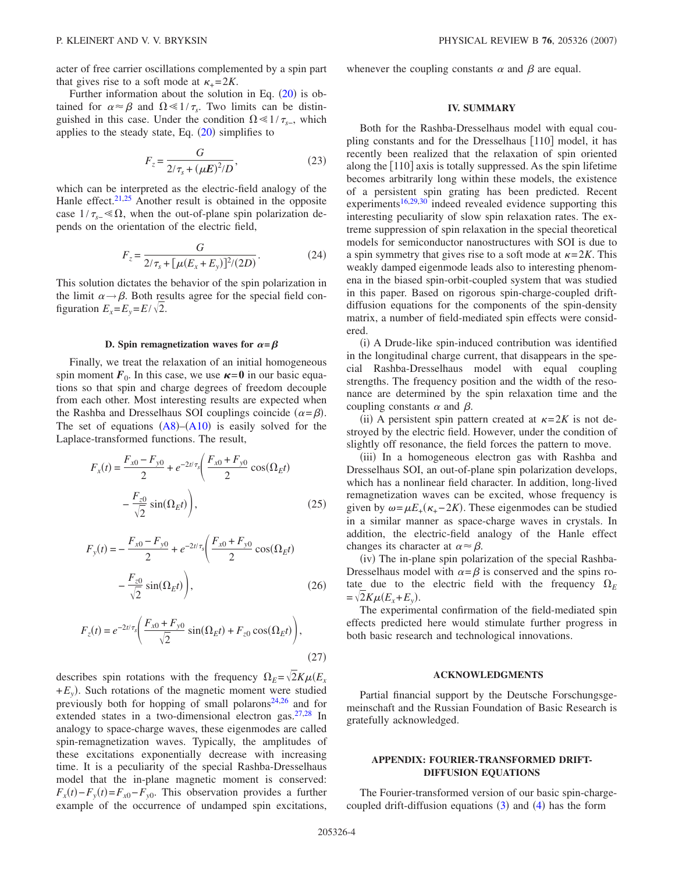acter of free carrier oscillations complemented by a spin part that gives rise to a soft mode at  $\kappa_{+} = 2K$ .

Further information about the solution in Eq.  $(20)$  $(20)$  $(20)$  is obtained for  $\alpha \approx \beta$  and  $\Omega \ll 1/\tau_{s}$ . Two limits can be distinguished in this case. Under the condition  $\Omega \ll 1/\tau_{s-}$ , which applies to the steady state, Eq.  $(20)$  $(20)$  $(20)$  simplifies to

$$
F_z = \frac{G}{2/\tau_s + (\mu E)^2 / D},
$$
\n(23)

which can be interpreted as the electric-field analogy of the Hanle effect. $2^{1,25}$  $2^{1,25}$  $2^{1,25}$  Another result is obtained in the opposite case  $1/\tau_{s-} \ll \Omega$ , when the out-of-plane spin polarization depends on the orientation of the electric field,

$$
F_z = \frac{G}{2/\tau_s + [\mu(E_x + E_y)]^2/(2D)}.
$$
 (24)

This solution dictates the behavior of the spin polarization in the limit  $\alpha \rightarrow \beta$ . Both results agree for the special field configuration  $E_x = E_y = E / \sqrt{2}$ .

#### **D. Spin remagnetization waves for**  $\alpha = \beta$

Finally, we treat the relaxation of an initial homogeneous spin moment  $\mathbf{F}_0$ . In this case, we use  $\kappa = 0$  in our basic equations so that spin and charge degrees of freedom decouple from each other. Most interesting results are expected when the Rashba and Dresselhaus SOI couplings coincide  $(\alpha = \beta)$ . The set of equations  $(A8)$  $(A8)$  $(A8)$ – $(A10)$  $(A10)$  $(A10)$  is easily solved for the Laplace-transformed functions. The result,

$$
F_x(t) = \frac{F_{x0} - F_{y0}}{2} + e^{-2t/\tau_s} \left(\frac{F_{x0} + F_{y0}}{2} \cos(\Omega_E t) - \frac{F_{z0}}{\sqrt{2}} \sin(\Omega_E t)\right),
$$
 (25)

$$
F_{y}(t) = -\frac{F_{x0} - F_{y0}}{2} + e^{-2t/\tau_{s}} \left( \frac{F_{x0} + F_{y0}}{2} \cos(\Omega_{E} t) - \frac{F_{z0}}{\sqrt{2}} \sin(\Omega_{E} t) \right),
$$
 (26)

$$
F_z(t) = e^{-2t/\tau_s} \left( \frac{F_{x0} + F_{y0}}{\sqrt{2}} \sin(\Omega_E t) + F_{z0} \cos(\Omega_E t) \right),
$$
\n(27)

describes spin rotations with the frequency  $\Omega_E = \sqrt{2K\mu(E_x)}$  $+E_y$ ). Such rotations of the magnetic moment were studied previously both for hopping of small polarons $24,26$  $24,26$  and for extended states in a two-dimensional electron gas. $27,28$  $27,28$  In analogy to space-charge waves, these eigenmodes are called spin-remagnetization waves. Typically, the amplitudes of these excitations exponentially decrease with increasing time. It is a peculiarity of the special Rashba-Dresselhaus model that the in-plane magnetic moment is conserved:  $F_x(t) - F_y(t) = F_{x0} - F_{y0}$ . This observation provides a further example of the occurrence of undamped spin excitations, whenever the coupling constants  $\alpha$  and  $\beta$  are equal.

### **IV. SUMMARY**

Both for the Rashba-Dresselhaus model with equal coupling constants and for the Dresselhaus  $[110]$  model, it has recently been realized that the relaxation of spin oriented along the  $[110]$  axis is totally suppressed. As the spin lifetime becomes arbitrarily long within these models, the existence of a persistent spin grating has been predicted. Recent experiments<sup>16[,29,](#page-5-10)[30](#page-5-11)</sup> indeed revealed evidence supporting this interesting peculiarity of slow spin relaxation rates. The extreme suppression of spin relaxation in the special theoretical models for semiconductor nanostructures with SOI is due to a spin symmetry that gives rise to a soft mode at  $\kappa = 2K$ . This weakly damped eigenmode leads also to interesting phenomena in the biased spin-orbit-coupled system that was studied in this paper. Based on rigorous spin-charge-coupled driftdiffusion equations for the components of the spin-density matrix, a number of field-mediated spin effects were considered.

(i) A Drude-like spin-induced contribution was identified in the longitudinal charge current, that disappears in the special Rashba-Dresselhaus model with equal coupling strengths. The frequency position and the width of the resonance are determined by the spin relaxation time and the coupling constants  $\alpha$  and  $\beta$ .

(ii) A persistent spin pattern created at  $\kappa = 2K$  is not destroyed by the electric field. However, under the condition of slightly off resonance, the field forces the pattern to move.

(iii) In a homogeneous electron gas with Rashba and Dresselhaus SOI, an out-of-plane spin polarization develops, which has a nonlinear field character. In addition, long-lived remagnetization waves can be excited, whose frequency is given by  $\omega = \mu E_+(\kappa_+ - 2K)$ . These eigenmodes can be studied in a similar manner as space-charge waves in crystals. In addition, the electric-field analogy of the Hanle effect changes its character at  $\alpha \approx \beta$ .

(iv) The in-plane spin polarization of the special Rashba-Dresselhaus model with  $\alpha = \beta$  is conserved and the spins rotate due to the electric field with the frequency  $\Omega_F$  $=\sqrt{2}K\mu(E_x+E_y).$ 

The experimental confirmation of the field-mediated spin effects predicted here would stimulate further progress in both basic research and technological innovations.

### **ACKNOWLEDGMENTS**

Partial financial support by the Deutsche Forschungsgemeinschaft and the Russian Foundation of Basic Research is gratefully acknowledged.

# **APPENDIX: FOURIER-TRANSFORMED DRIFT-DIFFUSION EQUATIONS**

The Fourier-transformed version of our basic spin-chargecoupled drift-diffusion equations  $(3)$  $(3)$  $(3)$  and  $(4)$  $(4)$  $(4)$  has the form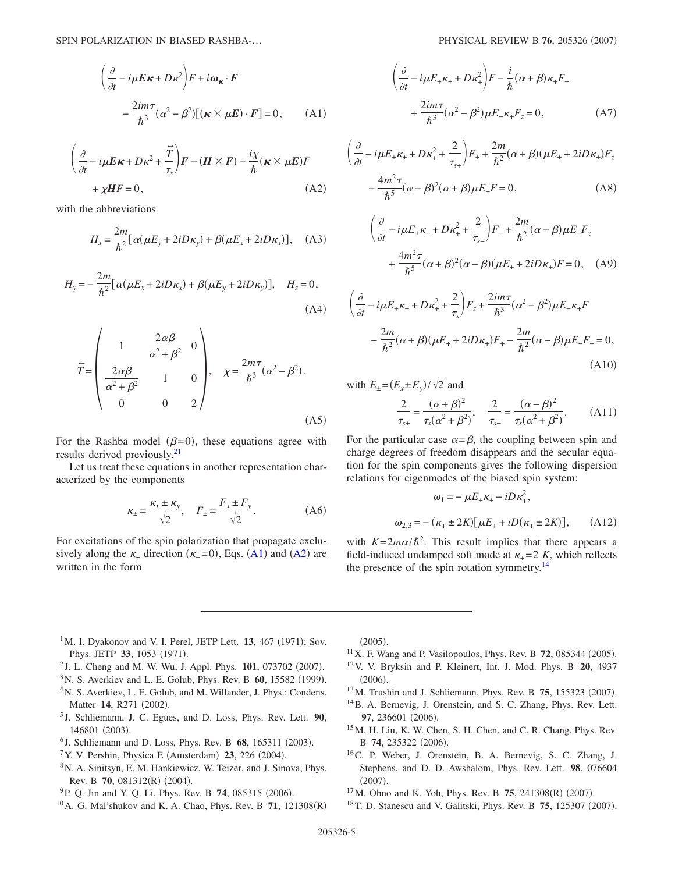<span id="page-4-14"></span>
$$
\left(\frac{\partial}{\partial t} - i\mu E \kappa + D\kappa^2\right) F + i\omega_{\kappa} \cdot F
$$

$$
-\frac{2im\tau}{\hbar^3} (\alpha^2 - \beta^2) [(\kappa \times \mu E) \cdot F] = 0, \qquad (A1)
$$

<span id="page-4-15"></span>
$$
\left(\frac{\partial}{\partial t} - i\mu E \kappa + D\kappa^2 + \frac{\tilde{T}}{\tau_s}\right) F - (H \times F) - \frac{i\chi}{\hbar}(\kappa \times \mu E)F
$$
  
+  $\chi HF = 0,$  (A2)

with the abbreviations

$$
H_x = \frac{2m}{\hbar^2} [\alpha(\mu E_y + 2iD\kappa_y) + \beta(\mu E_x + 2iD\kappa_x)], \quad \text{(A3)}
$$

$$
H_y = -\frac{2m}{\hbar^2} [\alpha(\mu E_x + 2iD\kappa_x) + \beta(\mu E_y + 2iD\kappa_y)], \quad H_z = 0,
$$
\n(A4)

$$
\vec{T} = \begin{pmatrix} 1 & \frac{2\alpha\beta}{\alpha^2 + \beta^2} & 0 \\ \frac{2\alpha\beta}{\alpha^2 + \beta^2} & 1 & 0 \\ 0 & 0 & 2 \end{pmatrix}, \quad \chi = \frac{2m\tau}{\hbar^3} (\alpha^2 - \beta^2).
$$
\n(A5)

For the Rashba model  $(\beta = 0)$ , these equations agree with results derived previously[.21](#page-5-2)

Let us treat these equations in another representation characterized by the components

$$
\kappa_{\pm} = \frac{\kappa_x \pm \kappa_y}{\sqrt{2}}, \quad F_{\pm} = \frac{F_x \pm F_y}{\sqrt{2}}.
$$
 (A6)

For excitations of the spin polarization that propagate exclusively along the  $\kappa_+$  direction ( $\kappa_-$ =0), Eqs. ([A1](#page-4-14)) and ([A2](#page-4-15)) are written in the form

<span id="page-4-16"></span>
$$
\left(\frac{\partial}{\partial t} - i\mu E_+ \kappa_+ + D\kappa_+^2\right) F - \frac{i}{\hbar}(\alpha + \beta)\kappa_+ F_- + \frac{2im\tau}{\hbar^3}(\alpha^2 - \beta^2)\mu E_- \kappa_+ F_z = 0, \tag{A7}
$$

<span id="page-4-18"></span>
$$
\left(\frac{\partial}{\partial t} - i\mu E_+ \kappa_+ + D\kappa_+^2 + \frac{2}{\tau_{s+}}\right)F_+ + \frac{2m}{\hbar^2}(\alpha + \beta)(\mu E_+ + 2iD\kappa_+)F_z
$$

$$
-\frac{4m^2\tau}{\hbar^5}(\alpha - \beta)^2(\alpha + \beta)\mu E_- F = 0,
$$
 (A8)

$$
\left(\frac{\partial}{\partial t} - i\mu E_+ \kappa_+ + D\kappa_+^2 + \frac{2}{\tau_{s-}}\right)F_- + \frac{2m}{\hbar^2}(\alpha - \beta)\mu E_- F_z
$$

$$
+ \frac{4m^2\tau}{\hbar^5}(\alpha + \beta)^2(\alpha - \beta)(\mu E_+ + 2iD\kappa_+)F = 0, \quad (A9)
$$

<span id="page-4-17"></span>
$$
\left(\frac{\partial}{\partial t} - i\mu E_{+} \kappa_{+} + D\kappa_{+}^{2} + \frac{2}{\tau_{s}}\right) F_{z} + \frac{2im\tau}{\hbar^{3}} (\alpha^{2} - \beta^{2}) \mu E_{-} \kappa_{+} F
$$

$$
- \frac{2m}{\hbar^{2}} (\alpha + \beta) (\mu E_{+} + 2iD\kappa_{+}) F_{+} - \frac{2m}{\hbar^{2}} (\alpha - \beta) \mu E_{-} F_{-} = 0,
$$
(A10)

with 
$$
E_{\pm} = (E_x \pm E_y) / \sqrt{2}
$$
 and  
\n
$$
\frac{2}{\tau_{s+}} = \frac{(\alpha + \beta)^2}{\tau_s(\alpha^2 + \beta^2)}, \quad \frac{2}{\tau_{s-}} = \frac{(\alpha - \beta)^2}{\tau_s(\alpha^2 + \beta^2)}.
$$

For the particular case  $\alpha = \beta$ , the coupling between spin and charge degrees of freedom disappears and the secular equation for the spin components gives the following dispersion relations for eigenmodes of the biased spin system:

$$
\omega_1 = -\mu E_+ \kappa_+ - iD\kappa_+^2,
$$
  

$$
\omega_{2,3} = -(\kappa_+ \pm 2K)[\mu E_+ + iD(\kappa_+ \pm 2K)], \qquad (A12)
$$

.  $(A11)$ 

with  $K = 2m\alpha/\hbar^2$ . This result implies that there appears a field-induced undamped soft mode at  $\kappa_{+} = 2 K$ , which reflects the presence of the spin rotation symmetry.<sup>14</sup>

- <span id="page-4-0"></span> $1^1$ M. I. Dyakonov and V. I. Perel, JETP Lett. **13**, 467 (1971); Sov. Phys. JETP 33, 1053 (1971).
- <span id="page-4-1"></span><sup>2</sup> J. L. Cheng and M. W. Wu, J. Appl. Phys. **101**, 073702 (2007).
- <span id="page-4-2"></span><sup>3</sup> N. S. Averkiev and L. E. Golub, Phys. Rev. B **60**, 15582 (1999).
- 4N. S. Averkiev, L. E. Golub, and M. Willander, J. Phys.: Condens. Matter 14, R271 (2002).
- <span id="page-4-4"></span><sup>5</sup> J. Schliemann, J. C. Egues, and D. Loss, Phys. Rev. Lett. **90**, 146801 (2003).
- <span id="page-4-5"></span><sup>6</sup> J. Schliemann and D. Loss, Phys. Rev. B **68**, 165311 (2003).
- <span id="page-4-3"></span><sup>7</sup> Y. V. Pershin, Physica E (Amsterdam) **23**, 226 (2004).
- <span id="page-4-6"></span>8N. A. Sinitsyn, E. M. Hankiewicz, W. Teizer, and J. Sinova, Phys. Rev. B 70, 081312(R) (2004).
- <sup>9</sup> P. Q. Jin and Y. Q. Li, Phys. Rev. B **74**, 085315 (2006).
- <sup>10</sup> A. G. Mal'shukov and K. A. Chao, Phys. Rev. B **71**, 121308(R)

 $(2005).$ 

- $11$ X. F. Wang and P. Vasilopoulos, Phys. Rev. B  $72$ , 085344 (2005).
- <span id="page-4-13"></span>12V. V. Bryksin and P. Kleinert, Int. J. Mod. Phys. B **20**, 4937  $(2006).$
- <span id="page-4-7"></span><sup>13</sup>M. Trushin and J. Schliemann, Phys. Rev. B **75**, 155323 (2007).
- <span id="page-4-8"></span>14B. A. Bernevig, J. Orenstein, and S. C. Zhang, Phys. Rev. Lett. 97, 236601 (2006).
- <span id="page-4-9"></span>15M. H. Liu, K. W. Chen, S. H. Chen, and C. R. Chang, Phys. Rev. B 74, 235322 (2006).
- <span id="page-4-10"></span>16C. P. Weber, J. Orenstein, B. A. Bernevig, S. C. Zhang, J. Stephens, and D. D. Awshalom, Phys. Rev. Lett. **98**, 076604  $(2007).$
- <span id="page-4-11"></span><sup>17</sup>M. Ohno and K. Yoh, Phys. Rev. B **75**, 241308(R) (2007).
- <span id="page-4-12"></span><sup>18</sup> T. D. Stanescu and V. Galitski, Phys. Rev. B **75**, 125307 (2007).